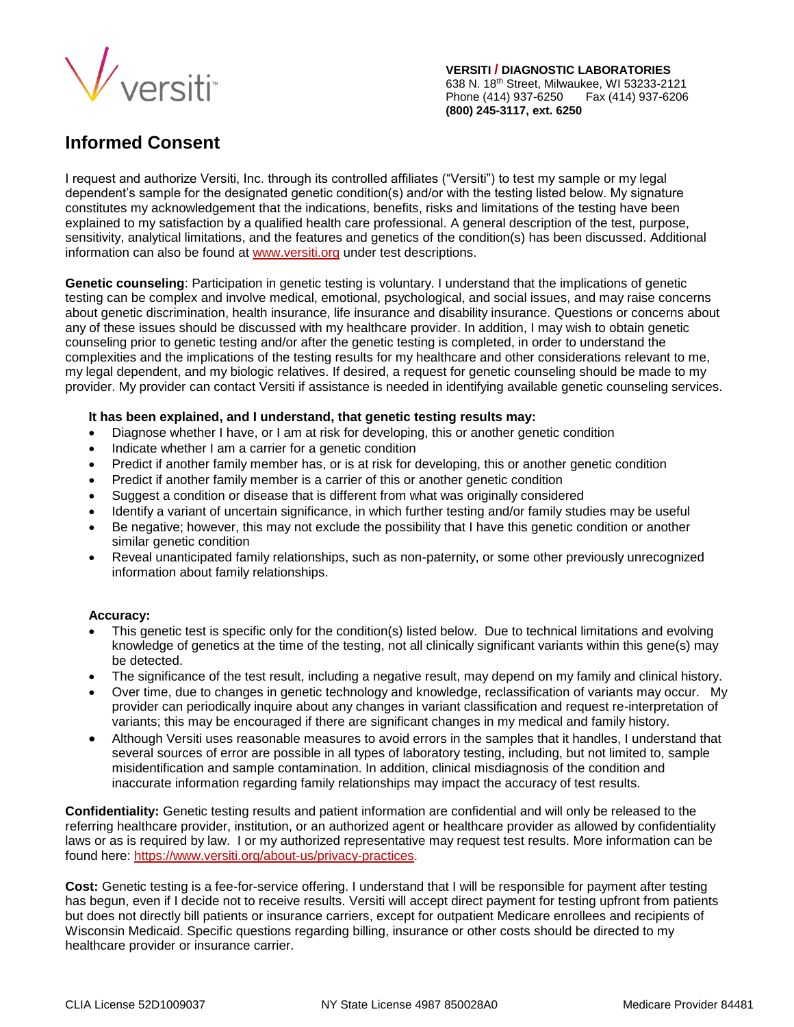

**VERSITI / DIAGNOSTIC LABORATORIES** 638 N. 18th Street, Milwaukee, WI 53233-2121 Phone (414) 937-6250 Fax (414) 937-6206 **(800) 245-3117, ext. 6250**

## **Informed Consent**

I request and authorize Versiti, Inc. through its controlled affiliates ("Versiti") to test my sample or my legal dependent's sample for the designated genetic condition(s) and/or with the testing listed below. My signature constitutes my acknowledgement that the indications, benefits, risks and limitations of the testing have been explained to my satisfaction by a qualified health care professional. A general description of the test, purpose, sensitivity, analytical limitations, and the features and genetics of the condition(s) has been discussed. Additional information can also be found at [www.versiti.org](http://www.versiti.org/) under test descriptions.

**Genetic counseling**: Participation in genetic testing is voluntary. I understand that the implications of genetic testing can be complex and involve medical, emotional, psychological, and social issues, and may raise concerns about genetic discrimination, health insurance, life insurance and disability insurance. Questions or concerns about any of these issues should be discussed with my healthcare provider. In addition, I may wish to obtain genetic counseling prior to genetic testing and/or after the genetic testing is completed, in order to understand the complexities and the implications of the testing results for my healthcare and other considerations relevant to me, my legal dependent, and my biologic relatives. If desired, a request for genetic counseling should be made to my provider. My provider can contact Versiti if assistance is needed in identifying available genetic counseling services.

## **It has been explained, and I understand, that genetic testing results may:**

- Diagnose whether I have, or I am at risk for developing, this or another genetic condition
- Indicate whether I am a carrier for a genetic condition
- Predict if another family member has, or is at risk for developing, this or another genetic condition
- Predict if another family member is a carrier of this or another genetic condition
- Suggest a condition or disease that is different from what was originally considered
- Identify a variant of uncertain significance, in which further testing and/or family studies may be useful
- Be negative; however, this may not exclude the possibility that I have this genetic condition or another similar genetic condition
- Reveal unanticipated family relationships, such as non-paternity, or some other previously unrecognized information about family relationships.

## **Accuracy:**

- This genetic test is specific only for the condition(s) listed below. Due to technical limitations and evolving knowledge of genetics at the time of the testing, not all clinically significant variants within this gene(s) may be detected.
- The significance of the test result, including a negative result, may depend on my family and clinical history.
- Over time, due to changes in genetic technology and knowledge, reclassification of variants may occur. My provider can periodically inquire about any changes in variant classification and request re-interpretation of variants; this may be encouraged if there are significant changes in my medical and family history.
- Although Versiti uses reasonable measures to avoid errors in the samples that it handles, I understand that several sources of error are possible in all types of laboratory testing, including, but not limited to, sample misidentification and sample contamination. In addition, clinical misdiagnosis of the condition and inaccurate information regarding family relationships may impact the accuracy of test results.

**Confidentiality:** Genetic testing results and patient information are confidential and will only be released to the referring healthcare provider, institution, or an authorized agent or healthcare provider as allowed by confidentiality laws or as is required by law. I or my authorized representative may request test results. More information can be found here: [https://www.versiti.org/about-us/privacy-practices.](https://www.versiti.org/about-us/privacy-practices)

**Cost:** Genetic testing is a fee-for-service offering. I understand that I will be responsible for payment after testing has begun, even if I decide not to receive results. Versiti will accept direct payment for testing upfront from patients but does not directly bill patients or insurance carriers, except for outpatient Medicare enrollees and recipients of Wisconsin Medicaid. Specific questions regarding billing, insurance or other costs should be directed to my healthcare provider or insurance carrier.